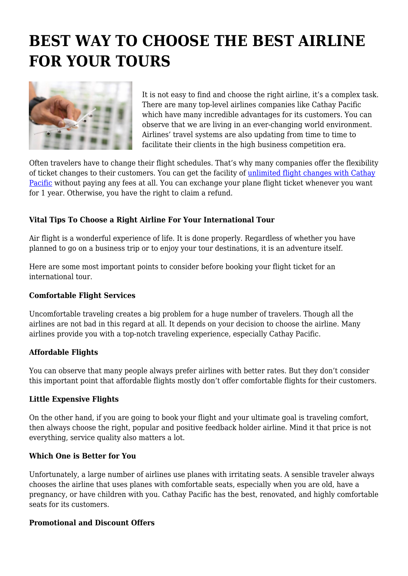# **BEST WAY TO CHOOSE THE BEST AIRLINE FOR YOUR TOURS**



It is not easy to find and choose the right airline, it's a complex task. There are many top-level airlines companies like Cathay Pacific which have many incredible advantages for its customers. You can observe that we are living in an ever-changing world environment. Airlines' travel systems are also updating from time to time to facilitate their clients in the high business competition era.

Often travelers have to change their flight schedules. That's why many companies offer the flexibility of ticket changes to their customers. You can get the facility of [unlimited flight changes with Cathay](https://www.cathaypacific.com/cx/en_HK/covid-19/unlimited-changes-without-charge.html) [Pacific](https://www.cathaypacific.com/cx/en_HK/covid-19/unlimited-changes-without-charge.html) without paying any fees at all. You can exchange your plane flight ticket whenever you want for 1 year. Otherwise, you have the right to claim a refund.

# **Vital Tips To Choose a Right Airline For Your International Tour**

Air flight is a wonderful experience of life. It is done properly. Regardless of whether you have planned to go on a business trip or to enjoy your tour destinations, it is an adventure itself.

Here are some most important points to consider before booking your flight ticket for an international tour.

## **Comfortable Flight Services**

Uncomfortable traveling creates a big problem for a huge number of travelers. Though all the airlines are not bad in this regard at all. It depends on your decision to choose the airline. Many airlines provide you with a top-notch traveling experience, especially Cathay Pacific.

## **Affordable Flights**

You can observe that many people always prefer airlines with better rates. But they don't consider this important point that affordable flights mostly don't offer comfortable flights for their customers.

## **Little Expensive Flights**

On the other hand, if you are going to book your flight and your ultimate goal is traveling comfort, then always choose the right, popular and positive feedback holder airline. Mind it that price is not everything, service quality also matters a lot.

## **Which One is Better for You**

Unfortunately, a large number of airlines use planes with irritating seats. A sensible traveler always chooses the airline that uses planes with comfortable seats, especially when you are old, have a pregnancy, or have children with you. Cathay Pacific has the best, renovated, and highly comfortable seats for its customers.

## **Promotional and Discount Offers**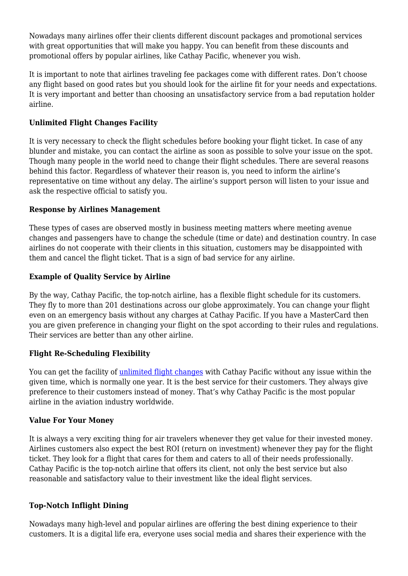Nowadays many airlines offer their clients different discount packages and promotional services with great opportunities that will make you happy. You can benefit from these discounts and promotional offers by popular airlines, like Cathay Pacific, whenever you wish.

It is important to note that airlines traveling fee packages come with different rates. Don't choose any flight based on good rates but you should look for the airline fit for your needs and expectations. It is very important and better than choosing an unsatisfactory service from a bad reputation holder airline.

## **Unlimited Flight Changes Facility**

It is very necessary to check the flight schedules before booking your flight ticket. In case of any blunder and mistake, you can contact the airline as soon as possible to solve your issue on the spot. Though many people in the world need to change their flight schedules. There are several reasons behind this factor. Regardless of whatever their reason is, you need to inform the airline's representative on time without any delay. The airline's support person will listen to your issue and ask the respective official to satisfy you.

## **Response by Airlines Management**

These types of cases are observed mostly in business meeting matters where meeting avenue changes and passengers have to change the schedule (time or date) and destination country. In case airlines do not cooperate with their clients in this situation, customers may be disappointed with them and cancel the flight ticket. That is a sign of bad service for any airline.

## **Example of Quality Service by Airline**

By the way, Cathay Pacific, the top-notch airline, has a flexible flight schedule for its customers. They fly to more than 201 destinations across our globe approximately. You can change your flight even on an emergency basis without any charges at Cathay Pacific. If you have a MasterCard then you are given preference in changing your flight on the spot according to their rules and regulations. Their services are better than any other airline.

## **Flight Re-Scheduling Flexibility**

You can get the facility of [unlimited flight changes](https://en.wikipedia.org/wiki/Cathay_Pacific) with Cathay Pacific without any issue within the given time, which is normally one year. It is the best service for their customers. They always give preference to their customers instead of money. That's why Cathay Pacific is the most popular airline in the aviation industry worldwide.

## **Value For Your Money**

It is always a very exciting thing for air travelers whenever they get value for their invested money. Airlines customers also expect the best ROI (return on investment) whenever they pay for the flight ticket. They look for a flight that cares for them and caters to all of their needs professionally. Cathay Pacific is the top-notch airline that offers its client, not only the best service but also reasonable and satisfactory value to their investment like the ideal flight services.

## **Top-Notch Inflight Dining**

Nowadays many high-level and popular airlines are offering the best dining experience to their customers. It is a digital life era, everyone uses social media and shares their experience with the